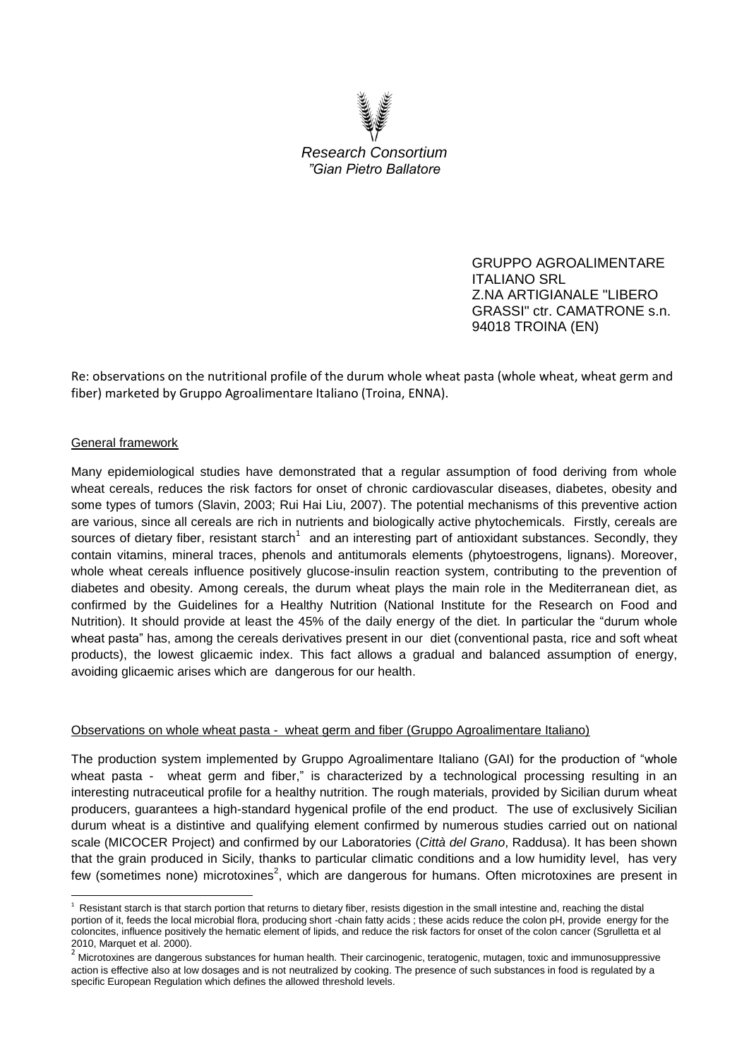

GRUPPO AGROALIMENTARE ITALIANO SRL Z.NA ARTIGIANALE "LIBERO GRASSI" ctr. CAMATRONE s.n. 94018 TROINA (EN)

Re: observations on the nutritional profile of the durum whole wheat pasta (whole wheat, wheat germ and fiber) marketed by Gruppo Agroalimentare Italiano (Troina, ENNA).

## General framework

**.** 

Many epidemiological studies have demonstrated that a regular assumption of food deriving from whole wheat cereals, reduces the risk factors for onset of chronic cardiovascular diseases, diabetes, obesity and some types of tumors (Slavin, 2003; Rui Hai Liu, 2007). The potential mechanisms of this preventive action are various, since all cereals are rich in nutrients and biologically active phytochemicals. Firstly, cereals are sources of dietary fiber, resistant starch<sup>1</sup> and an interesting part of antioxidant substances. Secondly, they contain vitamins, mineral traces, phenols and antitumorals elements (phytoestrogens, lignans). Moreover, whole wheat cereals influence positively glucose-insulin reaction system, contributing to the prevention of diabetes and obesity. Among cereals, the durum wheat plays the main role in the Mediterranean diet, as confirmed by the Guidelines for a Healthy Nutrition (National Institute for the Research on Food and Nutrition). It should provide at least the 45% of the daily energy of the diet. In particular the "durum whole wheat pasta" has, among the cereals derivatives present in our diet (conventional pasta, rice and soft wheat products), the lowest glicaemic index. This fact allows a gradual and balanced assumption of energy, avoiding glicaemic arises which are dangerous for our health.

## Observations on whole wheat pasta - wheat germ and fiber (Gruppo Agroalimentare Italiano)

The production system implemented by Gruppo Agroalimentare Italiano (GAI) for the production of "whole wheat pasta - wheat germ and fiber," is characterized by a technological processing resulting in an interesting nutraceutical profile for a healthy nutrition. The rough materials, provided by Sicilian durum wheat producers, guarantees a high-standard hygenical profile of the end product. The use of exclusively Sicilian durum wheat is a distintive and qualifying element confirmed by numerous studies carried out on national scale (MICOCER Project) and confirmed by our Laboratories (*Città del Grano*, Raddusa). It has been shown that the grain produced in Sicily, thanks to particular climatic conditions and a low humidity level, has very few (sometimes none) microtoxines<sup>2</sup>, which are dangerous for humans. Often microtoxines are present in

 $<sup>1</sup>$  Resistant starch is that starch portion that returns to dietary fiber, resists digestion in the small intestine and, reaching the distal</sup> portion of it, feeds the local microbial flora, producing short -chain fatty acids ; these acids reduce the colon pH, provide energy for the coloncites, influence positively the hematic element of lipids, and reduce the risk factors for onset of the colon cancer (Sgrulletta et al 2010, Marquet et al. 2000).

<sup>&</sup>lt;sup>2</sup> Microtoxines are dangerous substances for human health. Their carcinogenic, teratogenic, mutagen, toxic and immunosuppressive action is effective also at low dosages and is not neutralized by cooking. The presence of such substances in food is regulated by a specific European Regulation which defines the allowed threshold levels.